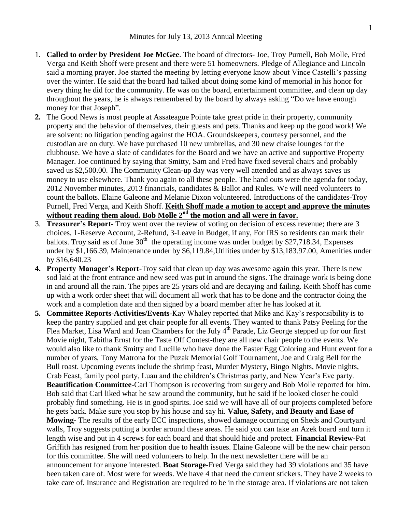- 1. **Called to order by President Joe McGee**. The board of directors- Joe, Troy Purnell, Bob Molle, Fred Verga and Keith Shoff were present and there were 51 homeowners. Pledge of Allegiance and Lincoln said a morning prayer. Joe started the meeting by letting everyone know about Vince Castelli's passing over the winter. He said that the board had talked about doing some kind of memorial in his honor for every thing he did for the community. He was on the board, entertainment committee, and clean up day throughout the years, he is always remembered by the board by always asking "Do we have enough money for that Joseph".
- **2.** The Good News is most people at Assateague Pointe take great pride in their property, community property and the behavior of themselves, their guests and pets. Thanks and keep up the good work! We are solvent: no litigation pending against the HOA. Groundskeepers, courtesy personnel, and the custodian are on duty. We have purchased 10 new umbrellas, and 30 new chaise lounges for the clubhouse. We have a slate of candidates for the Board and we have an active and supportive Property Manager. Joe continued by saying that Smitty, Sam and Fred have fixed several chairs and probably saved us \$2,500.00. The Community Clean-up day was very well attended and as always saves us money to use elsewhere. Thank you again to all these people. The hand outs were the agenda for today, 2012 November minutes, 2013 financials, candidates & Ballot and Rules. We will need volunteers to count the ballots. Elaine Galeone and Melanie Dixon volunteered. Introductions of the candidates-Troy Purnell, Fred Verga, and Keith Shoff. **Keith Shoff made a motion to accept and approve the minutes without reading them aloud. Bob Molle 2nd the motion and all were in favor.**
- 3. **Treasurer's Report-** Troy went over the review of voting on decision of excess revenue; there are 3 choices, 1-Reserve Account, 2-Refund, 3-Leave in Budget, if any, For IRS so residents can mark their ballots. Troy said as of June  $30<sup>th</sup>$  the operating income was under budget by \$27,718.34, Expenses under by \$1,166.39, Maintenance under by \$6,119.84,Utilities under by \$13,183.97.00, Amenities under by \$16,640.23
- **4. Property Manager's Report**-Troy said that clean up day was awesome again this year. There is new sod laid at the front entrance and new seed was put in around the signs. The drainage work is being done in and around all the rain. The pipes are 25 years old and are decaying and failing. Keith Shoff has come up with a work order sheet that will document all work that has to be done and the contractor doing the work and a completion date and then signed by a board member after he has looked at it.
- **5. Committee Reports**-**Activities/Events**-Kay Whaley reported that Mike and Kay's responsibility is to keep the pantry supplied and get chair people for all events. They wanted to thank Patsy Peeling for the Flea Market, Lisa Ward and Joan Chambers for the July 4<sup>th</sup> Parade, Liz George stepped up for our first Movie night, Tabitha Ernst for the Taste Off Contest-they are all new chair people to the events. We would also like to thank Smitty and Lucille who have done the Easter Egg Coloring and Hunt event for a number of years, Tony Matrona for the Puzak Memorial Golf Tournament, Joe and Craig Bell for the Bull roast. Upcoming events include the shrimp feast, Murder Mystery, Bingo Nights, Movie nights, Crab Feast, family pool party, Luau and the children's Christmas party, and New Year's Eve party. **Beautification Committee-**Carl Thompson is recovering from surgery and Bob Molle reported for him. Bob said that Carl liked what he saw around the community, but he said if he looked closer he could probably find something. He is in good spirits. Joe said we will have all of our projects completed before he gets back. Make sure you stop by his house and say hi. **Value, Safety, and Beauty and Ease of Mowing-** The results of the early ECC inspections, showed damage occurring on Sheds and Courtyard walls, Troy suggests putting a border around these areas. He said you can take an Azek board and turn it length wise and put in 4 screws for each board and that should hide and protect. **Financial Review-**Pat Griffith has resigned from her position due to health issues. Elaine Galeone will be the new chair person for this committee. She will need volunteers to help. In the next newsletter there will be an announcement for anyone interested. **Boat Storage-**Fred Verga said they had 39 violations and 35 have been taken care of. Most were for weeds. We have 4 that need the current stickers. They have 2 weeks to take care of. Insurance and Registration are required to be in the storage area. If violations are not taken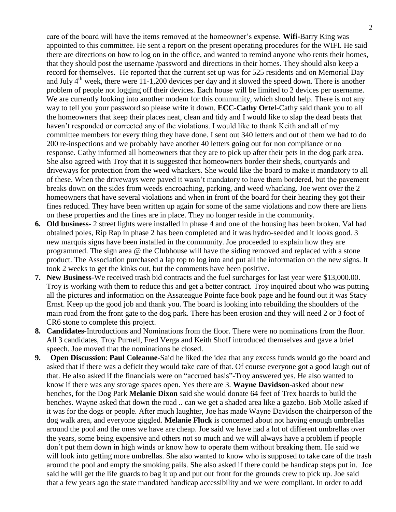care of the board will have the items removed at the homeowner's expense. **Wifi-**Barry King was appointed to this committee. He sent a report on the present operating procedures for the WIFI. He said there are directions on how to log on in the office, and wanted to remind anyone who rents their homes, that they should post the username /password and directions in their homes. They should also keep a record for themselves. He reported that the current set up was for 525 residents and on Memorial Day and July  $4<sup>th</sup>$  week, there were 11-1,200 devices per day and it slowed the speed down. There is another problem of people not logging off their devices. Each house will be limited to 2 devices per username. We are currently looking into another modem for this community, which should help. There is not any way to tell you your password so please write it down. **ECC-Cathy Orte**l-Cathy said thank you to all the homeowners that keep their places neat, clean and tidy and I would like to slap the dead beats that haven't responded or corrected any of the violations. I would like to thank Keith and all of my committee members for every thing they have done. I sent out 340 letters and out of them we had to do 200 re-inspections and we probably have another 40 letters going out for non compliance or no response. Cathy informed all homeowners that they are to pick up after their pets in the dog park area. She also agreed with Troy that it is suggested that homeowners border their sheds, courtyards and driveways for protection from the weed whackers. She would like the board to make it mandatory to all of these. When the driveways were paved it wasn't mandatory to have them bordered, but the pavement breaks down on the sides from weeds encroaching, parking, and weed whacking. Joe went over the 2 homeowners that have several violations and when in front of the board for their hearing they got their fines reduced. They have been written up again for some of the same violations and now there are liens on these properties and the fines are in place. They no longer reside in the community.

- **6. Old business** 2 street lights were installed in phase 4 and one of the housing has been broken. Val had obtained poles, Rip Rap in phase 2 has been completed and it was hydro-seeded and it looks good. 3 new marquis signs have been installed in the community. Joe proceeded to explain how they are programmed. The sign area @ the Clubhouse will have the siding removed and replaced with a stone product. The Association purchased a lap top to log into and put all the information on the new signs. It took 2 weeks to get the kinks out, but the comments have been positive.
- **7. New Business**-We received trash bid contracts and the fuel surcharges for last year were \$13,000.00. Troy is working with them to reduce this and get a better contract. Troy inquired about who was putting all the pictures and information on the Assateague Pointe face book page and he found out it was Stacy Ernst. Keep up the good job and thank you. The board is looking into rebuilding the shoulders of the main road from the front gate to the dog park. There has been erosion and they will need 2 or 3 foot of CR6 stone to complete this project.
- **8. Candidates**-Introductions and Nominations from the floor. There were no nominations from the floor. All 3 candidates, Troy Purnell, Fred Verga and Keith Shoff introduced themselves and gave a brief speech. Joe moved that the nominations be closed.
- **9. Open Discussion**: **Paul Coleanne**-Said he liked the idea that any excess funds would go the board and asked that if there was a deficit they would take care of that. Of course everyone got a good laugh out of that. He also asked if the financials were on "accrued basis"-Troy answered yes. He also wanted to know if there was any storage spaces open. Yes there are 3. **Wayne Davidson**-asked about new benches, for the Dog Park **Melanie Dixon** said she would donate 64 feet of Trex boards to build the benches. Wayne asked that down the road .. can we get a shaded area like a gazebo. Bob Molle asked if it was for the dogs or people. After much laughter, Joe has made Wayne Davidson the chairperson of the dog walk area, and everyone giggled. **Melanie Fluck** is concerned about not having enough umbrellas around the pool and the ones we have are cheap. Joe said we have had a lot of different umbrellas over the years, some being expensive and others not so much and we will always have a problem if people don't put them down in high winds or know how to operate them without breaking them. He said we will look into getting more umbrellas. She also wanted to know who is supposed to take care of the trash around the pool and empty the smoking pails. She also asked if there could be handicap steps put in. Joe said he will get the life guards to bag it up and put out front for the grounds crew to pick up. Joe said that a few years ago the state mandated handicap accessibility and we were compliant. In order to add